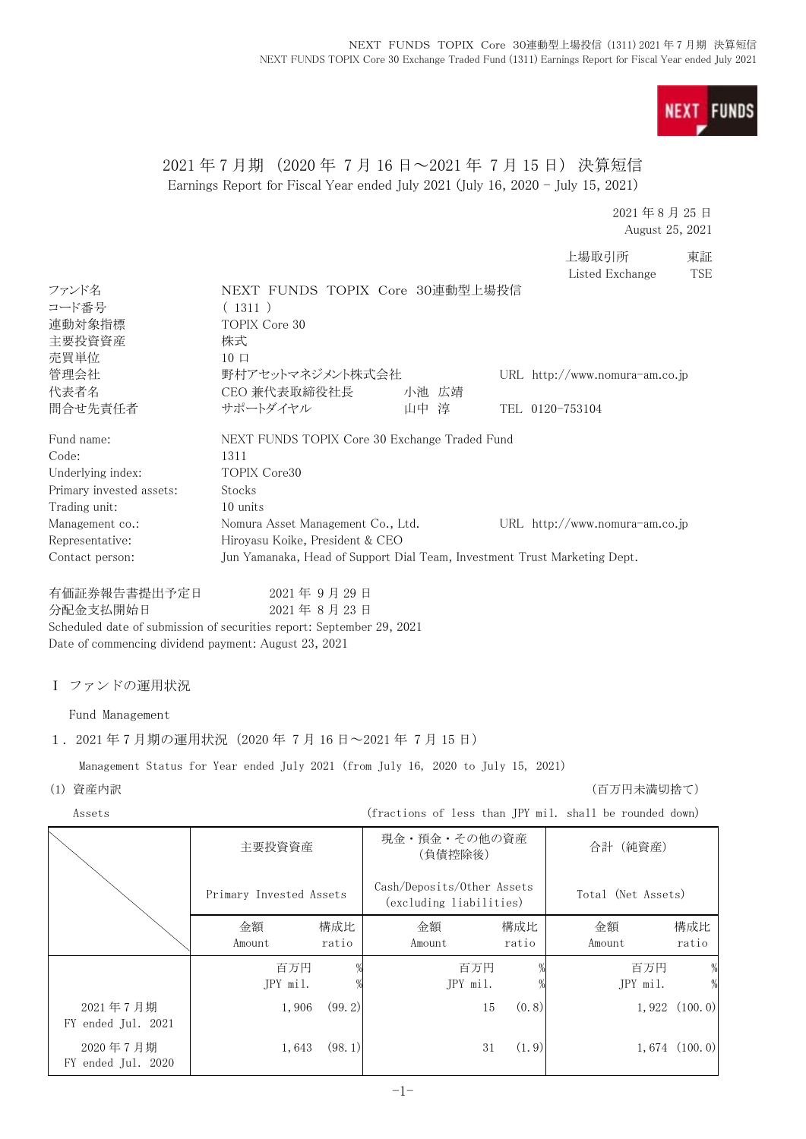**NEXT FUNDS** 

# 2021 年 7 月期 (2020 年 7 月 16 日~2021 年 7 月 15 日) 決算短信 Earnings Report for Fiscal Year ended July 2021 (July 16, 2020 - July 15, 2021)

2021 年 8 月 25 日 August 25, 2021

上場取引所 東証 Listed Exchange TSE

| ファンド名                                                                 | NEXT FUNDS TOPIX Core 30連動型上場投信                                                  |            |        |                                                       |       |                                                                           |                   |
|-----------------------------------------------------------------------|----------------------------------------------------------------------------------|------------|--------|-------------------------------------------------------|-------|---------------------------------------------------------------------------|-------------------|
| コード番号                                                                 | (1311)                                                                           |            |        |                                                       |       |                                                                           |                   |
| 連動対象指標                                                                | TOPIX Core 30                                                                    |            |        |                                                       |       |                                                                           |                   |
| 主要投資資産                                                                | 株式                                                                               |            |        |                                                       |       |                                                                           |                   |
| 売買単位                                                                  | $10 \Box$                                                                        |            |        |                                                       |       |                                                                           |                   |
| 管理会社                                                                  | 野村アセットマネジメント株式会社                                                                 |            |        |                                                       |       | URL http://www.nomura-am.co.jp                                            |                   |
| 代表者名                                                                  | CEO 兼代表取締役社長                                                                     |            |        | 小池 広靖                                                 |       |                                                                           |                   |
| 問合せ先責任者                                                               | サポートダイヤル                                                                         |            | 山中 淳   |                                                       |       | TEL 0120-753104                                                           |                   |
| Fund name:                                                            | NEXT FUNDS TOPIX Core 30 Exchange Traded Fund                                    |            |        |                                                       |       |                                                                           |                   |
| Code:                                                                 | 1311                                                                             |            |        |                                                       |       |                                                                           |                   |
| Underlying index:                                                     | TOPIX Core30                                                                     |            |        |                                                       |       |                                                                           |                   |
| Primary invested assets:                                              | Stocks                                                                           |            |        |                                                       |       |                                                                           |                   |
| Trading unit:                                                         | 10 units                                                                         |            |        |                                                       |       |                                                                           |                   |
| Management co.:                                                       | Nomura Asset Management Co., Ltd.                                                |            |        |                                                       |       | URL http://www.nomura-am.co.jp                                            |                   |
| Representative:                                                       | Hiroyasu Koike, President & CEO                                                  |            |        |                                                       |       |                                                                           |                   |
| Contact person:                                                       |                                                                                  |            |        |                                                       |       | Jun Yamanaka, Head of Support Dial Team, Investment Trust Marketing Dept. |                   |
| 有価証券報告書提出予定日                                                          |                                                                                  | 2021年9月29日 |        |                                                       |       |                                                                           |                   |
| 分配金支払開始日                                                              |                                                                                  | 2021年8月23日 |        |                                                       |       |                                                                           |                   |
| Scheduled date of submission of securities report: September 29, 2021 |                                                                                  |            |        |                                                       |       |                                                                           |                   |
| Date of commencing dividend payment: August 23, 2021                  |                                                                                  |            |        |                                                       |       |                                                                           |                   |
|                                                                       |                                                                                  |            |        |                                                       |       |                                                                           |                   |
| Ⅰ ファンドの運用状況                                                           |                                                                                  |            |        |                                                       |       |                                                                           |                   |
|                                                                       |                                                                                  |            |        |                                                       |       |                                                                           |                   |
| Fund Management                                                       |                                                                                  |            |        |                                                       |       |                                                                           |                   |
| 1. 2021年7月期の運用状況 (2020年7月16日~2021年7月15日)                              |                                                                                  |            |        |                                                       |       |                                                                           |                   |
|                                                                       | Management Status for Year ended July 2021 (from July 16, 2020 to July 15, 2021) |            |        |                                                       |       |                                                                           |                   |
| (1) 資産内訳                                                              |                                                                                  |            |        |                                                       |       | (百万円未満切捨て)                                                                |                   |
| Assets                                                                |                                                                                  |            |        |                                                       |       | (fractions of less than JPY mil. shall be rounded down)                   |                   |
|                                                                       | 主要投資資産                                                                           |            |        | 現金・預金・その他の資産                                          |       | 合計(純資産)                                                                   |                   |
|                                                                       |                                                                                  |            |        | (負債控除後)                                               |       |                                                                           |                   |
|                                                                       |                                                                                  |            |        |                                                       |       |                                                                           |                   |
|                                                                       | Primary Invested Assets                                                          |            |        | Cash/Deposits/Other Assets<br>(excluding liabilities) |       | Total (Net Assets)                                                        |                   |
|                                                                       |                                                                                  |            |        |                                                       |       |                                                                           |                   |
|                                                                       | 金額                                                                               | 構成比        | 金額     |                                                       | 構成比   | 金額                                                                        | 構成比               |
|                                                                       | Amount                                                                           | ratio      | Amount |                                                       | ratio | Amount                                                                    | ratio             |
|                                                                       | 百万円                                                                              |            |        | 百万円                                                   |       | 百万円                                                                       | $\frac{0}{2}$     |
|                                                                       | JPY mil.                                                                         |            |        | JPY mil.                                              |       | JPY mil.                                                                  | $\frac{0}{2}$     |
| 2021年7月期                                                              | 1,906                                                                            | (99.2)     |        | 15                                                    | (0.8) | 1,922                                                                     | (100.0)           |
| FY ended Jul. 2021                                                    |                                                                                  |            |        |                                                       |       |                                                                           |                   |
|                                                                       |                                                                                  |            |        |                                                       |       |                                                                           |                   |
| 2020年7月期                                                              | 1,643                                                                            | (98.1)     |        | 31                                                    | (1.9) |                                                                           | $1,674$ $(100.0)$ |
| FY ended Jul. 2020                                                    |                                                                                  |            |        |                                                       |       |                                                                           |                   |
|                                                                       |                                                                                  |            | $-1-$  |                                                       |       |                                                                           |                   |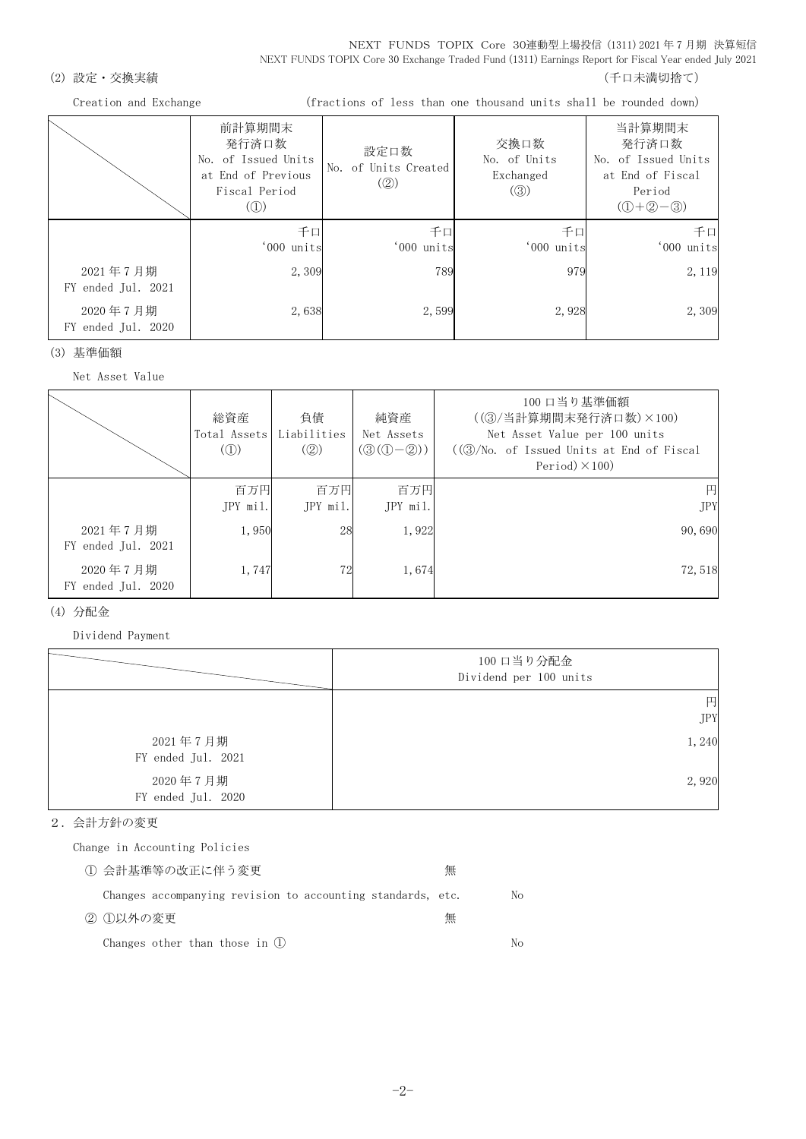NEXT FUNDS TOPIX Core 30連動型上場投信 (1311) 2021 年 7 月期 決算短信 NEXT FUNDS TOPIX Core 30 Exchange Traded Fund (1311) Earnings Report for Fiscal Year ended July 2021

## (2) 設定・交換実績 (2) またまま (1) これまでは こころには こうしょう にっぽん (千口未満切捨て)

Creation and Exchange (fractions of less than one thousand units shall be rounded down)

|                                | 前計算期間末<br>発行済口数<br>No. of Issued Units<br>at End of Previous<br>Fiscal Period<br>$\left( $ | 設定口数<br>No. of Units Created<br>$\left( \circled{2} \right)$ | 交換口数<br>No. of Units<br>Exchanged<br>$\left( \circledS \right)$ | 当計算期間末<br>発行済口数<br>No. of Issued Units<br>at End of Fiscal<br>Period<br>$(① + ② - ③)$ |
|--------------------------------|--------------------------------------------------------------------------------------------|--------------------------------------------------------------|-----------------------------------------------------------------|---------------------------------------------------------------------------------------|
|                                | 千口<br>'000 units                                                                           | 千口<br>'000 units                                             | 千口<br>'000 units                                                | 千口<br>'000 units                                                                      |
| 2021年7月期<br>FY ended Jul. 2021 | 2,309                                                                                      | 789                                                          | 979                                                             | 2, 119                                                                                |
| 2020年7月期<br>FY ended Jul. 2020 | 2,638                                                                                      | 2.599                                                        | 2,928                                                           | 2,309                                                                                 |

(3) 基準価額

Net Asset Value

|                                | 総資産<br>Total Assets Liabilities<br>$\mathcal{L}(\mathbb{D})$ | 負債<br>(Q)       | 純資産<br>Net Assets<br>$(③(①-②))$ | 100 口当り基準価額<br>((3) / 当計算期間末発行済口数) ×100)<br>Net Asset Value per 100 units<br>$((3)/N0,$ of Issued Units at End of Fiscal<br>Period $)\times$ 100) |
|--------------------------------|--------------------------------------------------------------|-----------------|---------------------------------|---------------------------------------------------------------------------------------------------------------------------------------------------|
|                                | 百万円<br>JPY mil.                                              | 百万円<br>JPY mil. | 百万円<br>JPY mil.                 | 円<br><b>JPY</b>                                                                                                                                   |
| 2021年7月期<br>FY ended Jul. 2021 | 1,950                                                        | 28              | 1,922                           | 90,690                                                                                                                                            |
| 2020年7月期<br>FY ended Jul. 2020 | 1,747                                                        | 72              | 1,674                           | 72,518                                                                                                                                            |

#### (4) 分配金

Dividend Payment

|                                | 100 口当り分配金<br>Dividend per 100 units |
|--------------------------------|--------------------------------------|
|                                | 円<br><b>JPY</b>                      |
| 2021年7月期<br>FY ended Jul. 2021 | 1,240                                |
| 2020年7月期<br>FY ended Jul. 2020 | 2,920                                |

#### 2.会計方針の変更

Change in Accounting Policies

| ① 会計基準等の改正に伴う変更                                             | 無 |    |
|-------------------------------------------------------------|---|----|
| Changes accompanying revision to accounting standards, etc. |   | No |
| ② ①以外の変更                                                    | 無 |    |
| Changes other than those in $(1)$                           |   | Nο |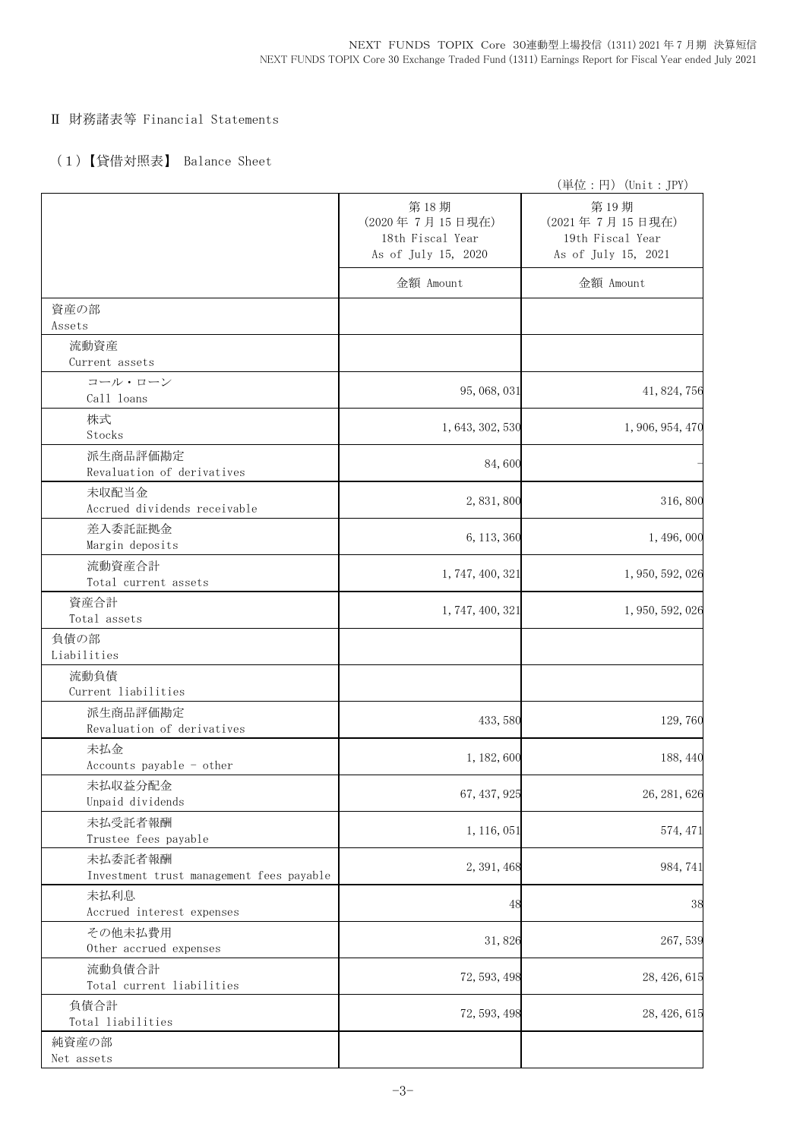## Ⅱ 財務諸表等 Financial Statements

## (1)【貸借対照表】 Balance Sheet

|                                                     |                                                                   | (単位:円) (Unit:JPY)                                                 |
|-----------------------------------------------------|-------------------------------------------------------------------|-------------------------------------------------------------------|
|                                                     | 第18期<br>(2020年7月15日現在)<br>18th Fiscal Year<br>As of July 15, 2020 | 第19期<br>(2021年7月15日現在)<br>19th Fiscal Year<br>As of July 15, 2021 |
|                                                     | 金額 Amount                                                         | 金額 Amount                                                         |
| 資産の部<br>Assets                                      |                                                                   |                                                                   |
| 流動資産<br>Current assets                              |                                                                   |                                                                   |
| コール・ローン<br>Call loans                               | 95, 068, 031                                                      | 41, 824, 756                                                      |
| 株式<br>Stocks                                        | 1, 643, 302, 530                                                  | 1, 906, 954, 470                                                  |
| 派生商品評価勘定<br>Revaluation of derivatives              | 84,600                                                            |                                                                   |
| 未収配当金<br>Accrued dividends receivable               | 2,831,800                                                         | 316,800                                                           |
| 差入委託証拠金<br>Margin deposits                          | 6, 113, 360                                                       | 1, 496, 000                                                       |
| 流動資産合計<br>Total current assets                      | 1, 747, 400, 321                                                  | 1, 950, 592, 026                                                  |
| 資産合計<br>Total assets                                | 1, 747, 400, 321                                                  | 1, 950, 592, 026                                                  |
| 負債の部<br>Liabilities                                 |                                                                   |                                                                   |
| 流動負債<br>Current liabilities                         |                                                                   |                                                                   |
| 派生商品評価勘定<br>Revaluation of derivatives              | 433, 580                                                          | 129,760                                                           |
| 未払金<br>Accounts payable - other                     | 1, 182, 600                                                       | 188, 440                                                          |
| 未払収益分配金<br>Unpaid dividends                         | 67, 437, 925                                                      | 26, 281, 626                                                      |
| 未払受託者報酬<br>Trustee fees payable                     | 1, 116, 051                                                       | 574, 471                                                          |
| 未払委託者報酬<br>Investment trust management fees payable | 2, 391, 468                                                       | 984, 741                                                          |
| 未払利息<br>Accrued interest expenses                   | 48                                                                | 38                                                                |
| その他未払費用<br>Other accrued expenses                   | 31,826                                                            | 267,539                                                           |
| 流動負債合計<br>Total current liabilities                 | 72, 593, 498                                                      | 28, 426, 615                                                      |
| 負債合計<br>Total liabilities                           | 72, 593, 498                                                      | 28, 426, 615                                                      |
| 純資産の部<br>Net assets                                 |                                                                   |                                                                   |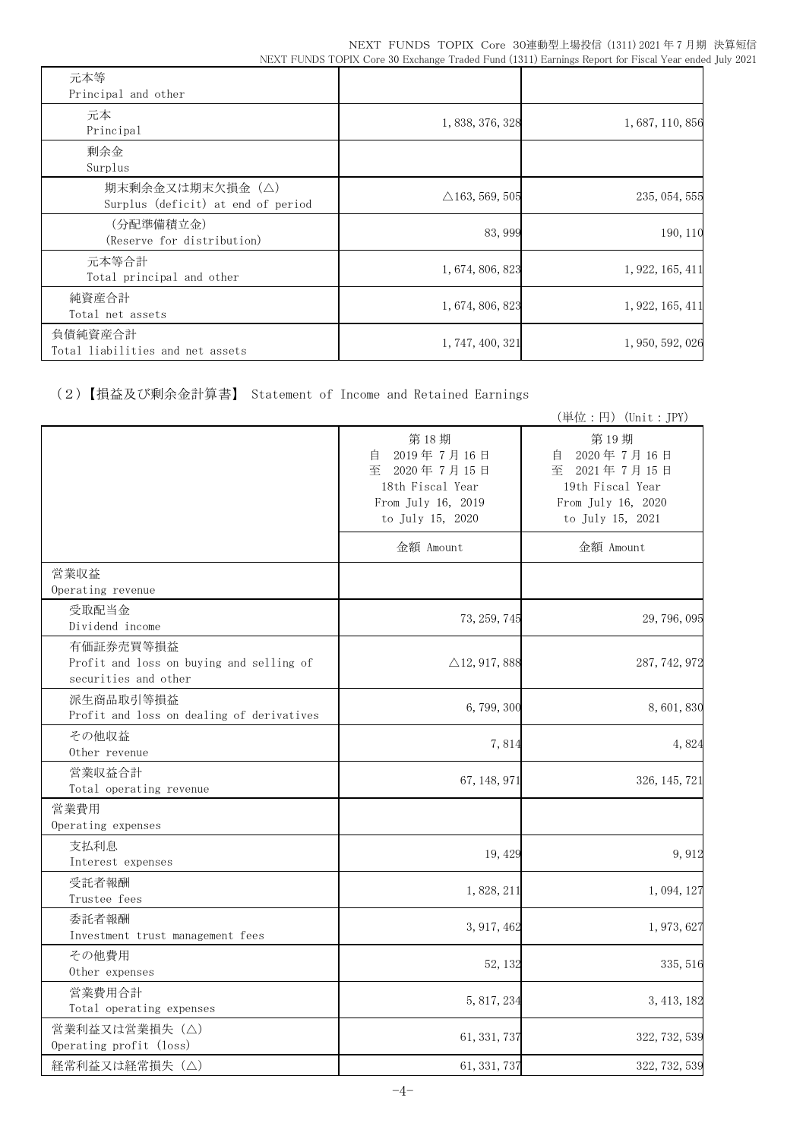| 元本等<br>Principal and other                            |                           |                  |
|-------------------------------------------------------|---------------------------|------------------|
| 元本<br>Principal                                       | 1, 838, 376, 328          | 1, 687, 110, 856 |
| 剰余金<br>Surplus                                        |                           |                  |
| 期末剰余金又は期末欠損金(△)<br>Surplus (deficit) at end of period | $\triangle$ 163, 569, 505 | 235, 054, 555    |
| (分配準備積立金)<br>(Reserve for distribution)               | 83,999                    | 190, 110         |
| 元本等合計<br>Total principal and other                    | 1, 674, 806, 823          | 1, 922, 165, 411 |
| 純資産合計<br>Total net assets                             | 1, 674, 806, 823          | 1, 922, 165, 411 |
| 負債純資産合計<br>Total liabilities and net assets           | 1, 747, 400, 321          | 1, 950, 592, 026 |

(2)【損益及び剰余金計算書】 Statement of Income and Retained Earnings

|                                                                               |                                                                                                       | (単位:円) (Unit:JPY)                                                                                     |
|-------------------------------------------------------------------------------|-------------------------------------------------------------------------------------------------------|-------------------------------------------------------------------------------------------------------|
|                                                                               | 第18期<br>2019年7月16日<br>自<br>至 2020年7月15日<br>18th Fiscal Year<br>From July 16, 2019<br>to July 15, 2020 | 第19期<br>2020年7月16日<br>目<br>至 2021年7月15日<br>19th Fiscal Year<br>From July 16, 2020<br>to July 15, 2021 |
|                                                                               | 金額 Amount                                                                                             | 金額 Amount                                                                                             |
| 営業収益<br>Operating revenue                                                     |                                                                                                       |                                                                                                       |
| 受取配当金<br>Dividend income                                                      | 73, 259, 745                                                                                          | 29, 796, 095                                                                                          |
| 有価証券売買等損益<br>Profit and loss on buying and selling of<br>securities and other | $\triangle$ 12, 917, 888                                                                              | 287, 742, 972                                                                                         |
| 派生商品取引等損益<br>Profit and loss on dealing of derivatives                        | 6,799,300                                                                                             | 8,601,830                                                                                             |
| その他収益<br>Other revenue                                                        | 7,814                                                                                                 | 4,824                                                                                                 |
| 営業収益合計<br>Total operating revenue                                             | 67, 148, 971                                                                                          | 326, 145, 721                                                                                         |
| 営業費用<br>Operating expenses                                                    |                                                                                                       |                                                                                                       |
| 支払利息<br>Interest expenses                                                     | 19, 429                                                                                               | 9,912                                                                                                 |
| 受託者報酬<br>Trustee fees                                                         | 1,828,211                                                                                             | 1, 094, 127                                                                                           |
| 委託者報酬<br>Investment trust management fees                                     | 3, 917, 462                                                                                           | 1, 973, 627                                                                                           |
| その他費用<br>Other expenses                                                       | 52, 132                                                                                               | 335, 516                                                                                              |
| 営業費用合計<br>Total operating expenses                                            | 5, 817, 234                                                                                           | 3, 413, 182                                                                                           |
| 営業利益又は営業損失 (△)<br>Operating profit (loss)                                     | 61, 331, 737                                                                                          | 322, 732, 539                                                                                         |
| 経常利益又は経常損失(△)                                                                 | 61, 331, 737                                                                                          | 322, 732, 539                                                                                         |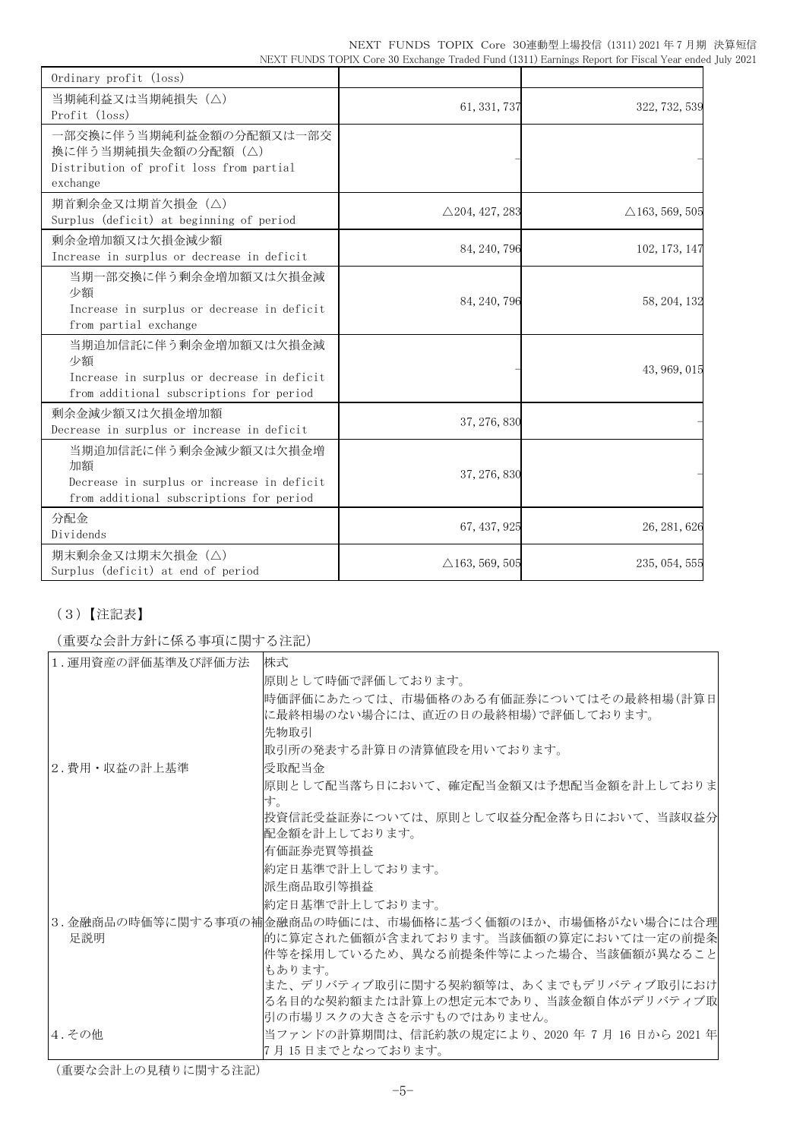|                                                                                                      |  | NEXT FUNDS TOPIX Core 30連動型上場投信 (1311) 2021 年 7 月期 決算短信 |  |  |
|------------------------------------------------------------------------------------------------------|--|---------------------------------------------------------|--|--|
| NEXT FUNDS TOPIX Core 30 Exchange Traded Fund (1311) Earnings Report for Fiscal Year ended July 2021 |  |                                                         |  |  |

| Ordinary profit (loss)                                                                                                |                           |                           |
|-----------------------------------------------------------------------------------------------------------------------|---------------------------|---------------------------|
| 当期純利益又は当期純損失 (△)<br>Profit (loss)                                                                                     | 61, 331, 737              | 322, 732, 539             |
| 一部交換に伴う当期純利益金額の分配額又は一部交<br>換に伴う当期純損失金額の分配額(△)<br>Distribution of profit loss from partial<br>exchange                 |                           |                           |
| 期首剰余金又は期首欠損金(△)<br>Surplus (deficit) at beginning of period                                                           | $\triangle$ 204, 427, 283 | $\triangle$ 163, 569, 505 |
| 剰余金増加額又は欠損金減少額<br>Increase in surplus or decrease in deficit                                                          | 84, 240, 796              | 102, 173, 147             |
| 当期一部交換に伴う剰余金増加額又は欠損金減<br>少額<br>Increase in surplus or decrease in deficit<br>from partial exchange                    | 84, 240, 796              | 58, 204, 132              |
| 当期追加信託に伴う剰余金増加額又は欠損金減<br>少額<br>Increase in surplus or decrease in deficit<br>from additional subscriptions for period |                           | 43, 969, 015              |
| 剰余金減少額又は欠損金増加額<br>Decrease in surplus or increase in deficit                                                          | 37, 276, 830              |                           |
| 当期追加信託に伴う剰余金減少額又は欠損金増<br>加額<br>Decrease in surplus or increase in deficit<br>from additional subscriptions for period | 37, 276, 830              |                           |
| 分配金<br>Dividends                                                                                                      | 67, 437, 925              | 26, 281, 626              |
| 期末剰余金又は期末欠損金 (△)<br>Surplus (deficit) at end of period                                                                | $\triangle$ 163, 569, 505 | 235, 054, 555             |

# (3)【注記表】

(重要な会計方針に係る事項に関する注記)

| 1. 運用資産の評価基準及び評価方法 | 株式                                                       |
|--------------------|----------------------------------------------------------|
|                    | 原則として時価で評価しております。                                        |
|                    | 時価評価にあたっては、市場価格のある有価証券についてはその最終相場(計算日                    |
|                    | に最終相場のない場合には、直近の日の最終相場)で評価しております。                        |
|                    | 先物取引                                                     |
|                    | 取引所の発表する計算日の清算値段を用いております。                                |
| 2.費用・収益の計上基準       | 受取配当金                                                    |
|                    | 原則として配当落ち日において、確定配当金額又は予想配当金額を計上しておりま                    |
|                    | す。                                                       |
|                    | 投資信託受益証券については、原則として収益分配金落ち日において、当該収益分                    |
|                    | 配金額を計上しております。                                            |
|                    | 有価証券売買等損益                                                |
|                    | 約定日基準で計上しております。                                          |
|                    | 派生商品取引等捐益                                                |
|                    | 約定日基準で計上しております。                                          |
|                    | 3. 金融商品の時価等に関する事項の補金融商品の時価には、市場価格に基づく価額のほか、市場価格がない場合には合理 |
| 足説明                | 的に算定された価額が含まれております。当該価額の算定においては一定の前提条                    |
|                    | 件等を採用しているため、異なる前提条件等によった場合、当該価額が異なること                    |
|                    | もあります。                                                   |
|                    | また、デリバティブ取引に関する契約額等は、あくまでもデリバティブ取引におけ                    |
|                    | る名目的な契約額または計算上の想定元本であり、当該金額自体がデリバティブ取                    |
|                    | 引の市場リスクの大きさを示すものではありません。                                 |
| 4.その他              | 当ファンドの計算期間は、信託約款の規定により、2020 年 7月 16 日から 2021 年           |
|                    | 7月15日までとなっております。                                         |

(重要な会計上の見積りに関する注記)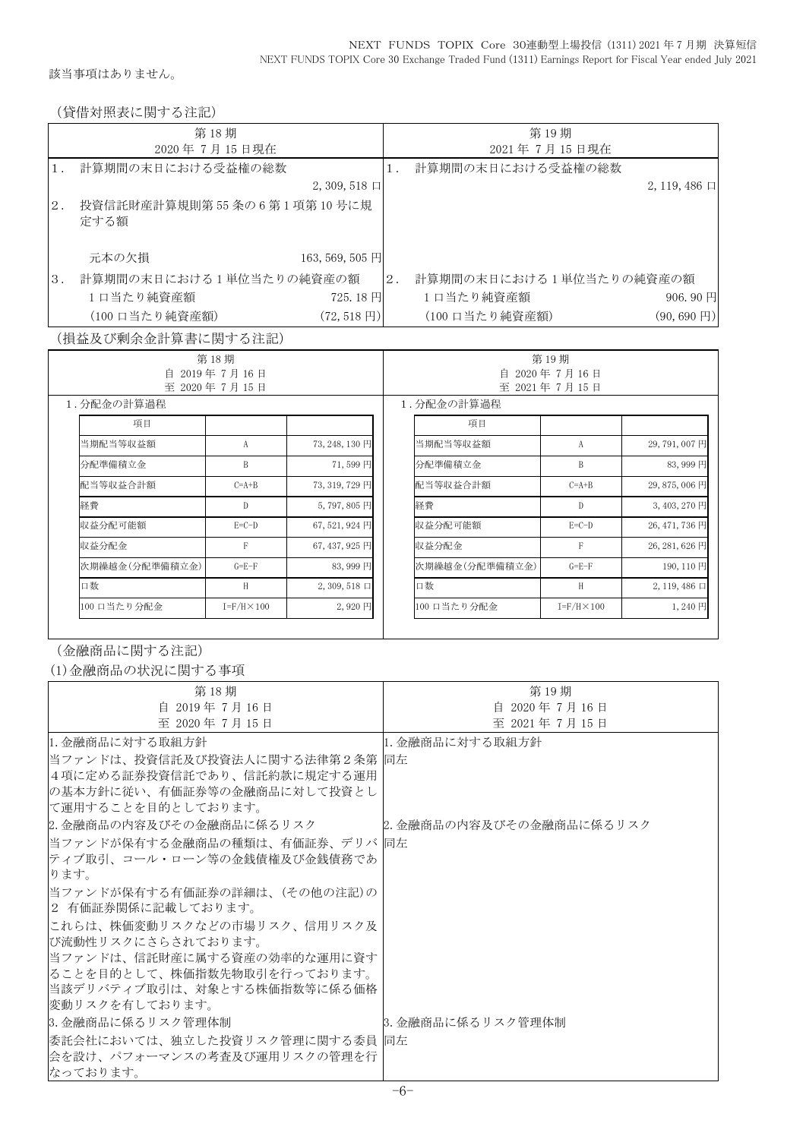該当事項はありません。

(貸借対照表に関する注記)

|    | 第18期                              |       | 第19期                    |                       |
|----|-----------------------------------|-------|-------------------------|-----------------------|
|    | 2020年7月15日現在                      |       | 2021年7月15日現在            |                       |
|    | 計算期間の末日における受益権の総数                 |       | 計算期間の末日における受益権の総数       |                       |
|    | $2, 309, 518 \Box$                |       |                         | $2, 119, 486$ 口       |
| 2. | 投資信託財産計算規則第55条の6第1項第10号に規<br>定する額 |       |                         |                       |
|    | 元本の欠損<br>163, 569, 505 円          |       |                         |                       |
| 3. | 計算期間の末日における1単位当たりの純資産の額           | $2$ . | 計算期間の末日における1単位当たりの純資産の額 |                       |
|    | 1日当たり純資産額<br>$725.18$ H           |       | 1口当たり純資産額               | 906.90円               |
|    | (100 口当たり純資産額)<br>$(72, 518$ 円)   |       | (100 口当たり純資産額)          | $(90, 690 \text{ F})$ |

(損益及び剰余金計算書に関する注記)

| 第18期<br>自<br>2019年7月16日 |                      |                       | 第19期 |                                 |                      |                       |  |
|-------------------------|----------------------|-----------------------|------|---------------------------------|----------------------|-----------------------|--|
| 至 2020年7月15日            |                      |                       |      | 2020年7月16日<br>自<br>至 2021年7月15日 |                      |                       |  |
| 1.分配金の計算過程              |                      |                       |      | 1. 分配金の計算過程                     |                      |                       |  |
| 項目                      |                      |                       |      | 項目                              |                      |                       |  |
| 当期配当等収益額                | А                    | 73, 248, 130 円        |      | 当期配当等収益額                        | A                    | 29,791,007円           |  |
| 分配準備積立金                 | B                    | 71,599円               |      | 分配準備積立金                         | B                    | 83,999円               |  |
| 配当等収益合計額                | $C=A+B$              | 73, 319, 729 円        |      | 配当等収益合計額                        | $C=A+B$              | 29,875,006円           |  |
| 経費                      | D                    | 5,797,805円            |      | 経費                              | $\mathbb{D}$         | 3,403,270 円           |  |
| 収益分配可能額                 | $E=C-D$              | $67,521,924$ 円        |      | 収益分配可能額                         | $E=C-D$              | 26, 471, 736 円        |  |
| 収益分配金                   | F                    | $67,437,925$ 円        |      | 収益分配金                           | F                    | 26, 281, 626 円        |  |
| 次期繰越金(分配準備積立金)          | $G = E - F$          | 83,999円               |      | 次期繰越金(分配準備積立金)                  | $G = E - F$          | 190, 110 円            |  |
| 口数                      | H                    | $2, 309, 518 \square$ |      | 口数                              | H                    | $2, 119, 486 \square$ |  |
| 100 口当たり分配金             | $I = F/H \times 100$ | 2,920円                |      | 100 口当たり分配金                     | $I = F/H \times 100$ | 1,240円                |  |

(金融商品に関する注記)

(1)金融商品の状況に関する事項

| 第18期                            | 第19期                     |
|---------------------------------|--------------------------|
| 自 2019年7月16日                    | 自 2020年7月16日             |
| 至 2020年7月15日                    | 至 2021年7月15日             |
| 11. 金融商品に対する取組方針                | 11. 金融商品に対する取組方針         |
| 当ファンドは、投資信託及び投資法人に関する法律第2条第  同左 |                          |
| 4項に定める証券投資信託であり、信託約款に規定する運用     |                          |
| の基本方針に従い、有価証券等の金融商品に対して投資とし     |                          |
| に運用することを目的としております。              |                          |
| 2.金融商品の内容及びその金融商品に係るリスク         | 2. 金融商品の内容及びその金融商品に係るリスク |
| 当ファンドが保有する金融商品の種類は、有価証券、デリバ  同左 |                          |
| ティブ取引、コール・ローン等の金銭債権及び金銭債務であ     |                          |
| ります。                            |                          |
| 当ファンドが保有する有価証券の詳細は、(その他の注記)の    |                          |
| 2 有価証券関係に記載しております。              |                          |
| これらは、株価変動リスクなどの市場リスク、信用リスク及     |                          |
| び流動性リスクにさらされております。              |                          |
| 当ファンドは、信託財産に属する資産の効率的な運用に資す     |                          |
| ることを目的として、株価指数先物取引を行っております。     |                          |
| 当該デリバティブ取引は、対象とする株価指数等に係る価格     |                          |
| 変動リスクを有しております。                  |                          |
| 3. 金融商品に係るリスク管理体制               | 3. 金融商品に係るリスク管理体制        |
| 委託会社においては、独立した投資リスク管理に関する委員  同左 |                          |
| 会を設け、パフォーマンスの考査及び運用リスクの管理を行     |                          |
| なっております。                        |                          |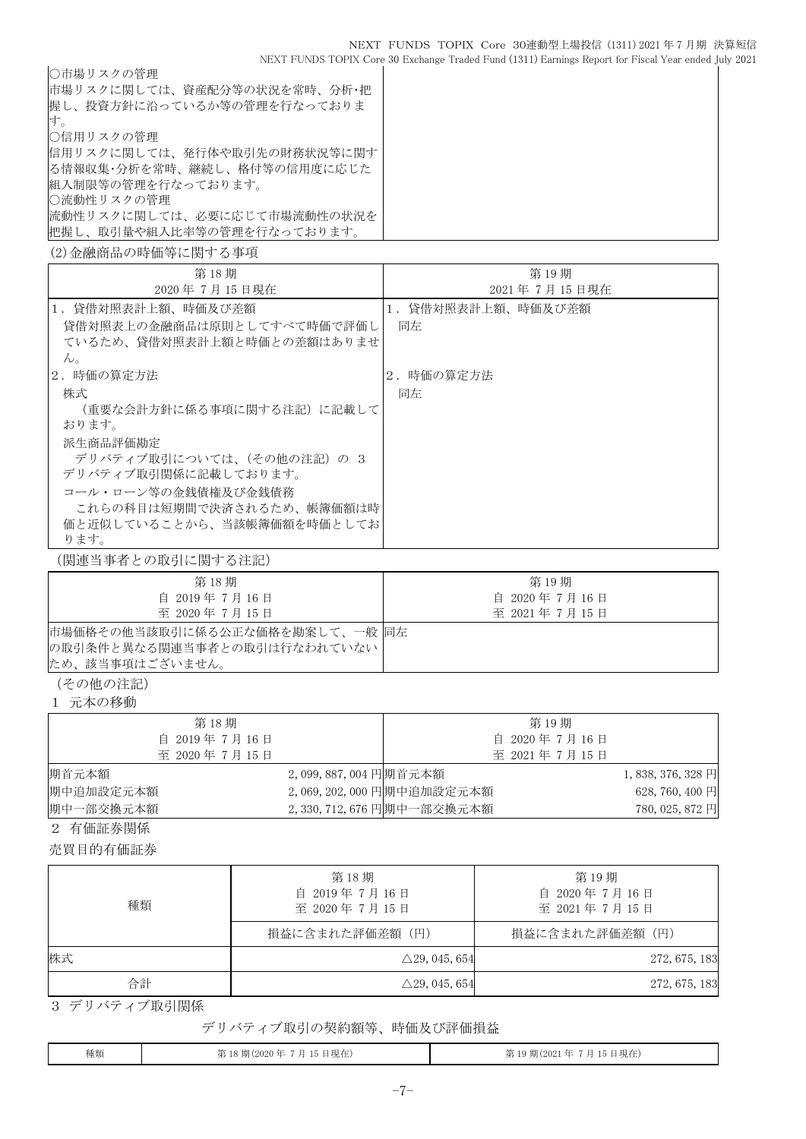| ○市場リスクの管理                   |
|-----------------------------|
| 市場リスクに関しては、資産配分等の状況を常時、分析・把 |
| 握し、投資方針に沿っているか等の管理を行なっておりま  |
| 寸.                          |
| ○信用リスクの管理                   |
| 信用リスクに関しては、発行体や取引先の財務状況等に関す |
| る情報収集・分析を常時、継続し、格付等の信用度に応じた |
| 組入制限等の管理を行なっております。          |
| ○流動性リスクの管理                  |
| 流動性リスクに関しては、必要に応じて市場流動性の状況を |
| 把握し、取引量や組入比率等の管理を行なっております。  |
| (2)金融商品の時価等に関する事項           |

| 第18期                       | 第19期              |
|----------------------------|-------------------|
| 2020年7月15日現在               | 2021年7月15日現在      |
| 1.貸借対照表計上額、時価及び差額          | 1.貸借対照表計上額、時価及び差額 |
| 貸借対照表上の金融商品は原則としてすべて時価で評価し | 同左                |
| ているため、貸借対照表計上額と時価との差額はありませ |                   |
| $\mathcal{W}_{\alpha}$     |                   |
| 2.時価の算定方法                  | 2.時価の算定方法         |
| 株式                         | 同左                |
| (重要な会計方針に係る事項に関する注記)に記載して  |                   |
| おります。                      |                   |
| 派生商品評価勘定                   |                   |
| デリバティブ取引については、(その他の注記) の 3 |                   |
| デリバティブ取引関係に記載しております。       |                   |
| コール・ローン等の金銭債権及び金銭債務        |                   |
| これらの科目は短期間で決済されるため、帳簿価額は時  |                   |
| 価と近似していることから、当該帳簿価額を時価としてお |                   |
| ります。                       |                   |

(関連当事者との取引に関する注記)

| 第18期                                                          | 第 19 期       |
|---------------------------------------------------------------|--------------|
| 自 2019年7月16日                                                  | 自 2020年7月16日 |
| 至 2020年7月15日                                                  | 至 2021年7月15日 |
| 市場価格その他当該取引に係る公正な価格を勘案して、一般同左<br> の取引条件と異なる関連当事者との取引は行なわれていない |              |
| ため、該当事項はございません。                                               |              |

(その他の注記)

1 元本の移動

| 第18期         |                     |                          | 第 19 期       |                   |
|--------------|---------------------|--------------------------|--------------|-------------------|
| 自 2019年7月16日 |                     |                          | 自 2020年7月16日 |                   |
| 至 2020年7月15日 |                     |                          | 至 2021年7月15日 |                   |
| 期首元本額        | 2,099,887,004円期首元本額 |                          |              | $1,838,376,328$ 円 |
| 期中追加設定元本額    |                     | 2,069,202,000 円期中追加設定元本額 |              | 628, 760, 400 円   |
| 期中一部交換元本額    |                     | 2,330,712,676 円期中一部交換元本額 |              | 780, 025, 872 円   |

2 有価証券関係

売買目的有価証券

| 種類 | 第18期<br>自 2019年7月16日<br>至 2020年7月15日 | 第19期<br>自 2020年7月16日<br>至 2021年7月15日 |  |  |
|----|--------------------------------------|--------------------------------------|--|--|
|    | 損益に含まれた評価差額(円)                       | 損益に含まれた評価差額(円)                       |  |  |
| 株式 | $\triangle$ 29, 045, 654             | 272, 675, 183                        |  |  |
| 合計 | $\triangle$ 29, 045, 654             | 272, 675, 183                        |  |  |

3 デリバティブ取引関係

## デリバティブ取引の契約額等、時価及び評価損益

| 種類 | 第18期(2020年7月15日現在) | 第19期(2021年7月15日現在) |
|----|--------------------|--------------------|
|    |                    |                    |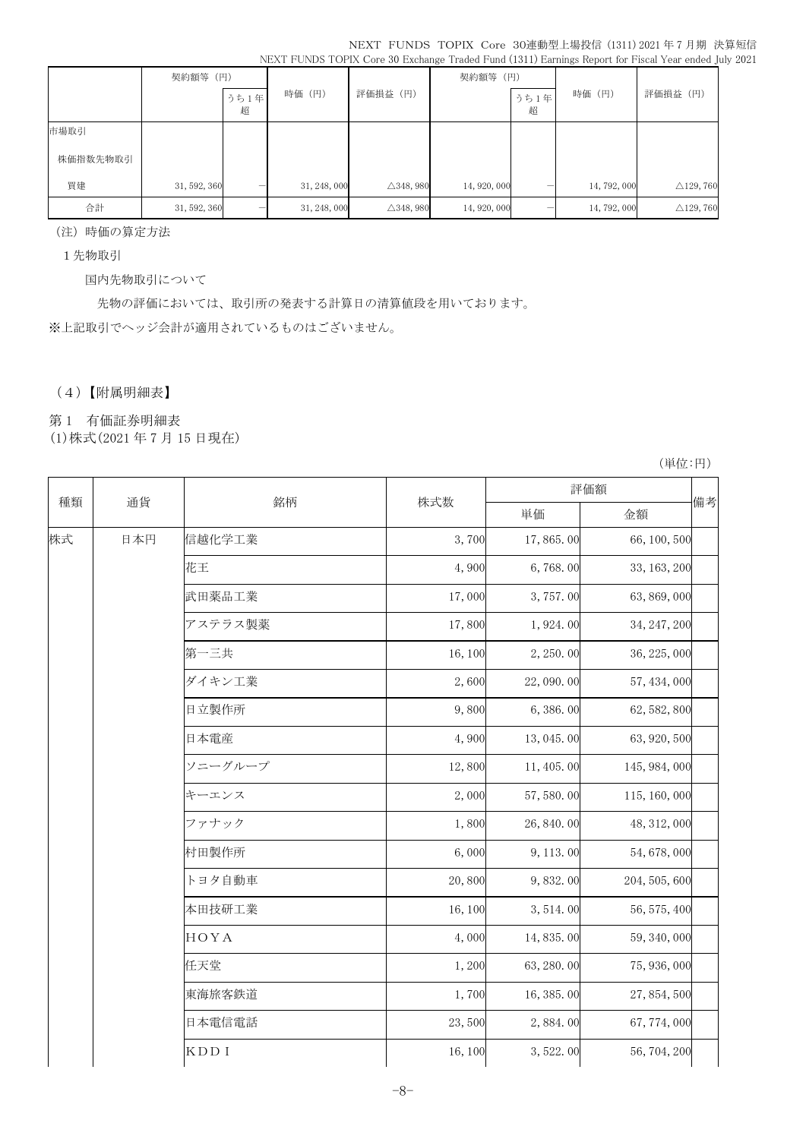|          |              |           |              |                      |              |           |              | THILL I CITCH I CITIL COIL ON ENCIRCIPLY IIMMOVAL MIN (ICIT) EMILIARY IMPORTANT I MOME I CAL CHAON JU |
|----------|--------------|-----------|--------------|----------------------|--------------|-----------|--------------|-------------------------------------------------------------------------------------------------------|
|          | 契約額等 (円)     |           |              |                      | 契約額等 (円)     |           |              |                                                                                                       |
|          |              | うち1年<br>超 | 時価 (円)       | 評価損益 (円)             |              | うち1年<br>超 | 時価 (円)       | 評価損益 (円)                                                                                              |
| 市場取引     |              |           |              |                      |              |           |              |                                                                                                       |
| 株価指数先物取引 |              |           |              |                      |              |           |              |                                                                                                       |
| 買建       | 31, 592, 360 |           | 31, 248, 000 | $\triangle$ 348, 980 | 14, 920, 000 | -         | 14, 792, 000 | $\triangle$ 129, 760                                                                                  |
| 合計       | 31, 592, 360 |           | 31, 248, 000 | $\triangle$ 348, 980 | 14, 920, 000 |           | 14, 792, 000 | $\triangle$ 129, 760                                                                                  |

(注)時価の算定方法

1先物取引

国内先物取引について

先物の評価においては、取引所の発表する計算日の清算値段を用いております。 ※上記取引でヘッジ会計が適用されているものはございません。

## (4)【附属明細表】

第 1 有価証券明細表

(1)株式(2021 年 7 月 15 日現在)

(単位:円)

|    |     |         |         |            | 評価額           |    |  |
|----|-----|---------|---------|------------|---------------|----|--|
| 種類 | 通貨  | 銘柄      | 株式数     | 単価         | 金額            | 備考 |  |
| 株式 | 日本円 | 信越化学工業  | 3,700   | 17,865.00  | 66, 100, 500  |    |  |
|    |     | 花王      | 4,900   | 6,768.00   | 33, 163, 200  |    |  |
|    |     | 武田薬品工業  | 17,000  | 3,757.00   | 63, 869, 000  |    |  |
|    |     | アステラス製薬 | 17,800  | 1,924.00   | 34, 247, 200  |    |  |
|    |     | 第一三共    | 16,100  | 2, 250.00  | 36, 225, 000  |    |  |
|    |     | ダイキン工業  | 2,600   | 22, 090.00 | 57, 434, 000  |    |  |
|    |     | 日立製作所   | 9,800   | 6,386.00   | 62, 582, 800  |    |  |
|    |     | 日本電産    | 4,900   | 13,045.00  | 63, 920, 500  |    |  |
|    |     | ソニーグループ | 12,800  | 11, 405.00 | 145, 984, 000 |    |  |
|    |     | キーエンス   | 2,000   | 57, 580.00 | 115, 160, 000 |    |  |
|    |     | ファナック   | 1,800   | 26, 840.00 | 48, 312, 000  |    |  |
|    |     | 村田製作所   | 6,000   | 9, 113.00  | 54, 678, 000  |    |  |
|    |     | トヨタ自動車  | 20,800  | 9,832.00   | 204, 505, 600 |    |  |
|    |     | 本田技研工業  | 16, 100 | 3, 514.00  | 56, 575, 400  |    |  |
|    |     | HOYA    | 4,000   | 14,835.00  | 59, 340, 000  |    |  |
|    |     | 任天堂     | 1,200   | 63, 280.00 | 75, 936, 000  |    |  |
|    |     | 東海旅客鉄道  | 1,700   | 16, 385.00 | 27, 854, 500  |    |  |
|    |     | 日本電信電話  | 23,500  | 2,884.00   | 67, 774, 000  |    |  |
|    |     | KDD I   | 16, 100 | 3,522.00   | 56, 704, 200  |    |  |